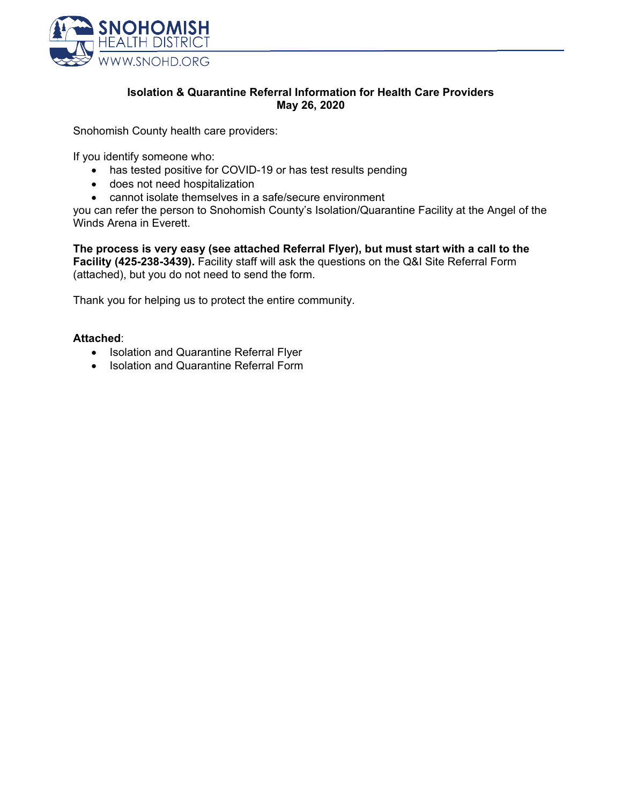

### **Isolation & Quarantine Referral Information for Health Care Providers May 26, 2020**

Snohomish County health care providers:

If you identify someone who:

- has tested positive for COVID-19 or has test results pending
- does not need hospitalization
- cannot isolate themselves in a safe/secure environment

you can refer the person to Snohomish County's Isolation/Quarantine Facility at the Angel of the Winds Arena in Everett.

**The process is very easy (see attached Referral Flyer), but must start with a call to the Facility (425-238-3439).** Facility staff will ask the questions on the Q&I Site Referral Form (attached), but you do not need to send the form.

Thank you for helping us to protect the entire community.

### **Attached**:

- Isolation and Quarantine Referral Flyer
- Isolation and Quarantine Referral Form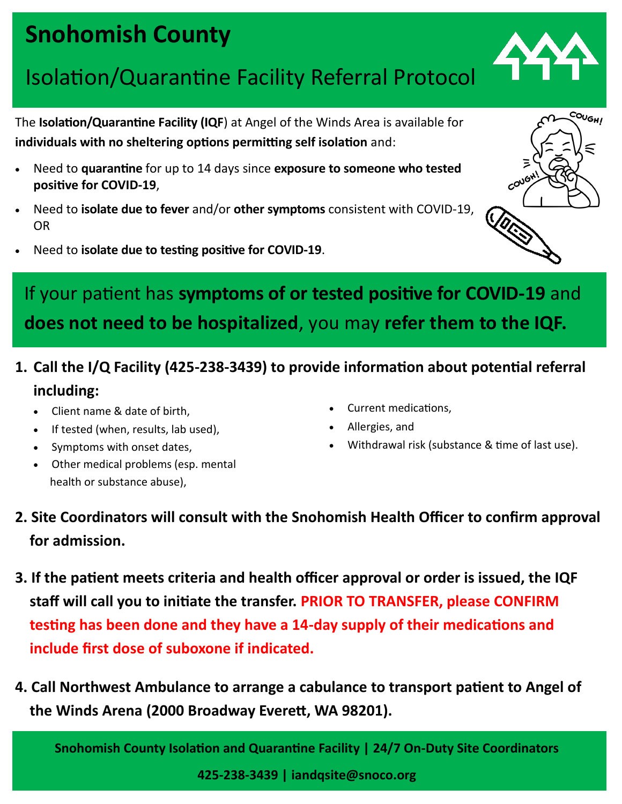# **Snohomish County**

## Isolation/Quarantine Facility Referral Protocol

The **Isolation/Quarantine Facility (IQF**) at Angel of the Winds Area is available for **individuals with no sheltering options permitting self isolation** and:

- Need to **quarantine** for up to 14 days since **exposure to someone who tested positive for COVID-19**,
- Need to **isolate due to fever** and/or **other symptoms** consistent with COVID-19, OR
- Need to **isolate due to testing positive for COVID-19**.



### **1. Call the I/Q Facility (425-238-3439) to provide information about potential referral including:**

- Client name & date of birth,
- If tested (when, results, lab used),
- Symptoms with onset dates,
- Other medical problems (esp. mental health or substance abuse),
- Current medications,
- Allergies, and
- Withdrawal risk (substance & time of last use).
- **2. Site Coordinators will consult with the Snohomish Health Officer to confirm approval for admission.**
- **3. If the patient meets criteria and health officer approval or order is issued, the IQF staff will call you to initiate the transfer. PRIOR TO TRANSFER, please CONFIRM testing has been done and they have a 14-day supply of their medications and include first dose of suboxone if indicated.**
- **4. Call Northwest Ambulance to arrange a cabulance to transport patient to Angel of the Winds Arena (2000 Broadway Everett, WA 98201).**

**Snohomish County Isolation and Quarantine Facility | 24/7 On-Duty Site Coordinators**